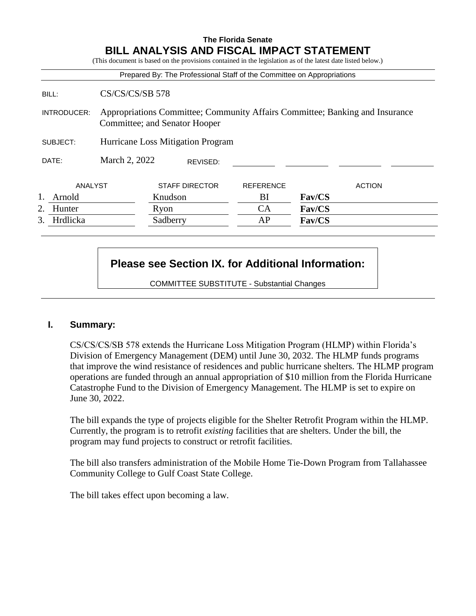# **The Florida Senate BILL ANALYSIS AND FISCAL IMPACT STATEMENT**

(This document is based on the provisions contained in the legislation as of the latest date listed below.)

|                |                                                                                                               | Prepared By: The Professional Staff of the Committee on Appropriations |                  |               |
|----------------|---------------------------------------------------------------------------------------------------------------|------------------------------------------------------------------------|------------------|---------------|
| BILL:          | $CS/CS/CS/SB$ 578                                                                                             |                                                                        |                  |               |
| INTRODUCER:    | Appropriations Committee; Community Affairs Committee; Banking and Insurance<br>Committee; and Senator Hooper |                                                                        |                  |               |
| SUBJECT:       | Hurricane Loss Mitigation Program                                                                             |                                                                        |                  |               |
| DATE:          | March 2, 2022                                                                                                 | REVISED:                                                               |                  |               |
| ANALYST        |                                                                                                               | <b>STAFF DIRECTOR</b>                                                  | <b>REFERENCE</b> | <b>ACTION</b> |
| Arnold         |                                                                                                               | Knudson                                                                | BI               | Fav/CS        |
| Hunter<br>2.   |                                                                                                               | Ryon                                                                   | CA               | Fav/CS        |
| 3.<br>Hrdlicka |                                                                                                               | Sadberry                                                               | AP               | Fav/CS        |

# **Please see Section IX. for Additional Information:**

COMMITTEE SUBSTITUTE - Substantial Changes

## **I. Summary:**

CS/CS/CS/SB 578 extends the Hurricane Loss Mitigation Program (HLMP) within Florida's Division of Emergency Management (DEM) until June 30, 2032. The HLMP funds programs that improve the wind resistance of residences and public hurricane shelters. The HLMP program operations are funded through an annual appropriation of \$10 million from the Florida Hurricane Catastrophe Fund to the Division of Emergency Management. The HLMP is set to expire on June 30, 2022.

The bill expands the type of projects eligible for the Shelter Retrofit Program within the HLMP. Currently, the program is to retrofit *existing* facilities that are shelters. Under the bill, the program may fund projects to construct or retrofit facilities.

The bill also transfers administration of the Mobile Home Tie-Down Program from Tallahassee Community College to Gulf Coast State College.

The bill takes effect upon becoming a law.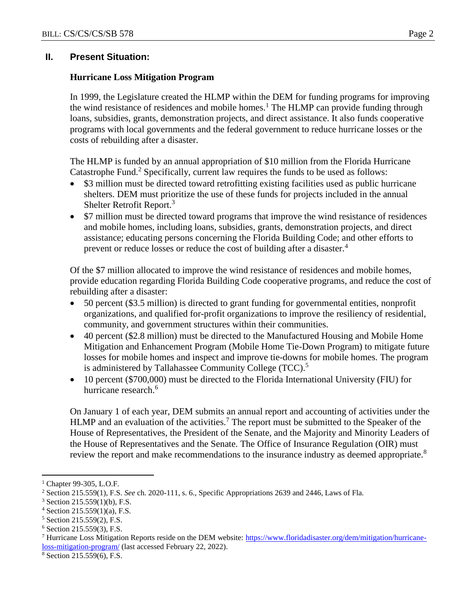## **II. Present Situation:**

#### **Hurricane Loss Mitigation Program**

In 1999, the Legislature created the HLMP within the DEM for funding programs for improving the wind resistance of residences and mobile homes.<sup>1</sup> The HLMP can provide funding through loans, subsidies, grants, demonstration projects, and direct assistance. It also funds cooperative programs with local governments and the federal government to reduce hurricane losses or the costs of rebuilding after a disaster.

The HLMP is funded by an annual appropriation of \$10 million from the Florida Hurricane Catastrophe Fund.<sup>2</sup> Specifically, current law requires the funds to be used as follows:

- \$3 million must be directed toward retrofitting existing facilities used as public hurricane shelters. DEM must prioritize the use of these funds for projects included in the annual Shelter Retrofit Report.<sup>3</sup>
- \$7 million must be directed toward programs that improve the wind resistance of residences and mobile homes, including loans, subsidies, grants, demonstration projects, and direct assistance; educating persons concerning the Florida Building Code; and other efforts to prevent or reduce losses or reduce the cost of building after a disaster.<sup>4</sup>

Of the \$7 million allocated to improve the wind resistance of residences and mobile homes, provide education regarding Florida Building Code cooperative programs, and reduce the cost of rebuilding after a disaster:

- 50 percent (\$3.5 million) is directed to grant funding for governmental entities, nonprofit organizations, and qualified for-profit organizations to improve the resiliency of residential, community, and government structures within their communities.
- 40 percent (\$2.8 million) must be directed to the Manufactured Housing and Mobile Home Mitigation and Enhancement Program (Mobile Home Tie-Down Program) to mitigate future losses for mobile homes and inspect and improve tie-downs for mobile homes. The program is administered by Tallahassee Community College (TCC).<sup>5</sup>
- 10 percent (\$700,000) must be directed to the Florida International University (FIU) for hurricane research.<sup>6</sup>

On January 1 of each year, DEM submits an annual report and accounting of activities under the HLMP and an evaluation of the activities.<sup>7</sup> The report must be submitted to the Speaker of the House of Representatives, the President of the Senate, and the Majority and Minority Leaders of the House of Representatives and the Senate. The Office of Insurance Regulation (OIR) must review the report and make recommendations to the insurance industry as deemed appropriate.<sup>8</sup>

 $\overline{a}$ 

<sup>8</sup> Section 215.559(6), F.S.

<sup>&</sup>lt;sup>1</sup> Chapter 99-305, L.O.F.

<sup>2</sup> Section 215.559(1), F.S. *See* ch. 2020-111, s. 6., Specific Appropriations 2639 and 2446, Laws of Fla.

 $3$  Section 215.559(1)(b), F.S.

 $4$  Section 215.559(1)(a), F.S.

<sup>5</sup> Section 215.559(2), F.S.

<sup>6</sup> Section 215.559(3), F.S.

<sup>7</sup> Hurricane Loss Mitigation Reports reside on the DEM website: [https://www.floridadisaster.org/dem/mitigation/hurricane](https://www.floridadisaster.org/dem/mitigation/hurricane-loss-mitigation-program/)[loss-mitigation-program/](https://www.floridadisaster.org/dem/mitigation/hurricane-loss-mitigation-program/) (last accessed February 22, 2022).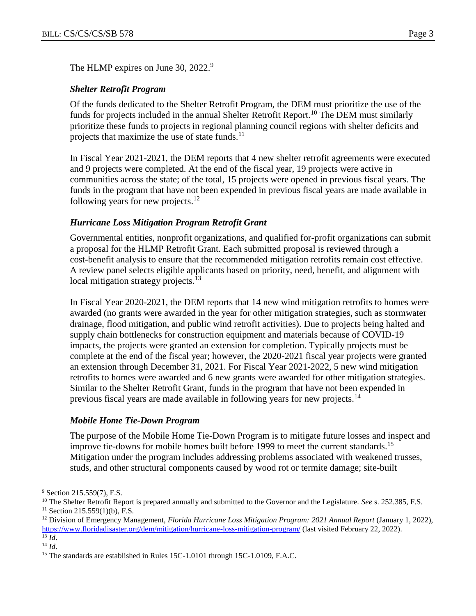The HLMP expires on June 30, 2022.<sup>9</sup>

## *Shelter Retrofit Program*

Of the funds dedicated to the Shelter Retrofit Program, the DEM must prioritize the use of the funds for projects included in the annual Shelter Retrofit Report.<sup>10</sup> The DEM must similarly prioritize these funds to projects in regional planning council regions with shelter deficits and projects that maximize the use of state funds. $^{11}$ 

In Fiscal Year 2021-2021, the DEM reports that 4 new shelter retrofit agreements were executed and 9 projects were completed. At the end of the fiscal year, 19 projects were active in communities across the state; of the total, 15 projects were opened in previous fiscal years. The funds in the program that have not been expended in previous fiscal years are made available in following years for new projects. $^{12}$ 

## *Hurricane Loss Mitigation Program Retrofit Grant*

Governmental entities, nonprofit organizations, and qualified for-profit organizations can submit a proposal for the HLMP Retrofit Grant. Each submitted proposal is reviewed through a cost-benefit analysis to ensure that the recommended mitigation retrofits remain cost effective. A review panel selects eligible applicants based on priority, need, benefit, and alignment with local mitigation strategy projects. $13$ 

In Fiscal Year 2020-2021, the DEM reports that 14 new wind mitigation retrofits to homes were awarded (no grants were awarded in the year for other mitigation strategies, such as stormwater drainage, flood mitigation, and public wind retrofit activities). Due to projects being halted and supply chain bottlenecks for construction equipment and materials because of COVID-19 impacts, the projects were granted an extension for completion. Typically projects must be complete at the end of the fiscal year; however, the 2020-2021 fiscal year projects were granted an extension through December 31, 2021. For Fiscal Year 2021-2022, 5 new wind mitigation retrofits to homes were awarded and 6 new grants were awarded for other mitigation strategies. Similar to the Shelter Retrofit Grant, funds in the program that have not been expended in previous fiscal years are made available in following years for new projects.<sup>14</sup>

## *Mobile Home Tie-Down Program*

The purpose of the Mobile Home Tie-Down Program is to mitigate future losses and inspect and improve tie-downs for mobile homes built before 1999 to meet the current standards.<sup>15</sup> Mitigation under the program includes addressing problems associated with weakened trusses, studs, and other structural components caused by wood rot or termite damage; site-built

 $\overline{a}$ 

<sup>&</sup>lt;sup>9</sup> Section 215.559(7), F.S.

<sup>&</sup>lt;sup>10</sup> The Shelter Retrofit Report is prepared annually and submitted to the Governor and the Legislature. *See* s. 252.385, F.S.  $11$  Section 215.559(1)(b), F.S.

<sup>12</sup> Division of Emergency Management, *Florida Hurricane Loss Mitigation Program: 2021 Annual Report* (January 1, 2022), <https://www.floridadisaster.org/dem/mitigation/hurricane-loss-mitigation-program/> (last visited February 22, 2022).  $\overline{^{13}$  *Id.* 

<sup>14</sup> *Id*.

<sup>&</sup>lt;sup>15</sup> The standards are established in Rules 15C-1.0101 through 15C-1.0109, F.A.C.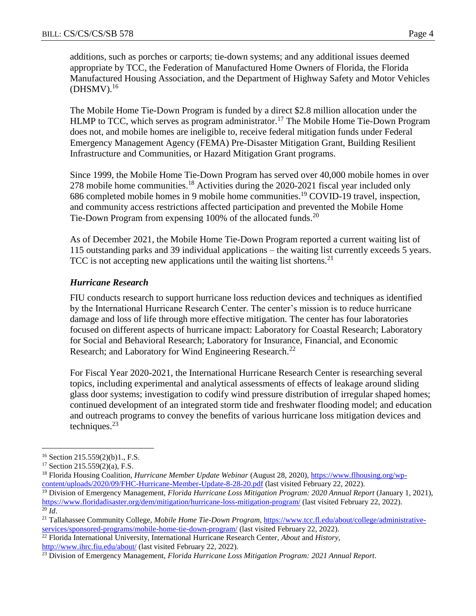additions, such as porches or carports; tie-down systems; and any additional issues deemed appropriate by TCC, the Federation of Manufactured Home Owners of Florida, the Florida Manufactured Housing Association, and the Department of Highway Safety and Motor Vehicles  $(DHSMV).$ <sup>16</sup>

The Mobile Home Tie-Down Program is funded by a direct \$2.8 million allocation under the HLMP to TCC, which serves as program administrator.<sup>17</sup> The Mobile Home Tie-Down Program does not, and mobile homes are ineligible to, receive federal mitigation funds under Federal Emergency Management Agency (FEMA) Pre-Disaster Mitigation Grant, Building Resilient Infrastructure and Communities, or Hazard Mitigation Grant programs.

Since 1999, the Mobile Home Tie-Down Program has served over 40,000 mobile homes in over 278 mobile home communities.<sup>18</sup> Activities during the 2020-2021 fiscal year included only 686 completed mobile homes in 9 mobile home communities.<sup>19</sup> COVID-19 travel, inspection, and community access restrictions affected participation and prevented the Mobile Home Tie-Down Program from expensing 100% of the allocated funds.<sup>20</sup>

As of December 2021, the Mobile Home Tie-Down Program reported a current waiting list of 115 outstanding parks and 39 individual applications – the waiting list currently exceeds 5 years. TCC is not accepting new applications until the waiting list shortens.<sup>21</sup>

# *Hurricane Research*

FIU conducts research to support hurricane loss reduction devices and techniques as identified by the International Hurricane Research Center. The center's mission is to reduce hurricane damage and loss of life through more effective mitigation. The center has four laboratories focused on different aspects of hurricane impact: Laboratory for Coastal Research; Laboratory for Social and Behavioral Research; Laboratory for Insurance, Financial, and Economic Research; and Laboratory for Wind Engineering Research.<sup>22</sup>

For Fiscal Year 2020-2021, the International Hurricane Research Center is researching several topics, including experimental and analytical assessments of effects of leakage around sliding glass door systems; investigation to codify wind pressure distribution of irregular shaped homes; continued development of an integrated storm tide and freshwater flooding model; and education and outreach programs to convey the benefits of various hurricane loss mitigation devices and techniques. $^{23}$ 

 $\overline{a}$ 

<sup>22</sup> Florida International University, International Hurricane Research Center, *About* and *History*, <http://www.ihrc.fiu.edu/about/> (last visited February 22, 2022).

 $16$  Section 215.559(2)(b)1., F.S.

<sup>17</sup> Section 215.559(2)(a), F.S.

<sup>18</sup> Florida Housing Coalition*, Hurricane Member Update Webinar* (August 28, 2020), [https://www.flhousing.org/wp](https://www.flhousing.org/wp-content/uploads/2020/09/FHC-Hurricane-Member-Update-8-28-20.pdf)[content/uploads/2020/09/FHC-Hurricane-Member-Update-8-28-20.pdf](https://www.flhousing.org/wp-content/uploads/2020/09/FHC-Hurricane-Member-Update-8-28-20.pdf) (last visited February 22, 2022).

<sup>19</sup> Division of Emergency Management, *Florida Hurricane Loss Mitigation Program: 2020 Annual Report* (January 1, 2021), <https://www.floridadisaster.org/dem/mitigation/hurricane-loss-mitigation-program/> (last visited February 22, 2022).  $^{20}$   $\tilde{I}$ *d*.

<sup>&</sup>lt;sup>21</sup> Tallahassee Community College, Mobile Home Tie-Down Program, [https://www.tcc.fl.edu/about/college/administrative](https://www.tcc.fl.edu/about/college/administrative-services/sponsored-programs/mobile-home-tie-down-program/)[services/sponsored-programs/mobile-home-tie-down-program/](https://www.tcc.fl.edu/about/college/administrative-services/sponsored-programs/mobile-home-tie-down-program/) (last visited February 22, 2022).

<sup>23</sup> Division of Emergency Management, *Florida Hurricane Loss Mitigation Program: 2021 Annual Report*.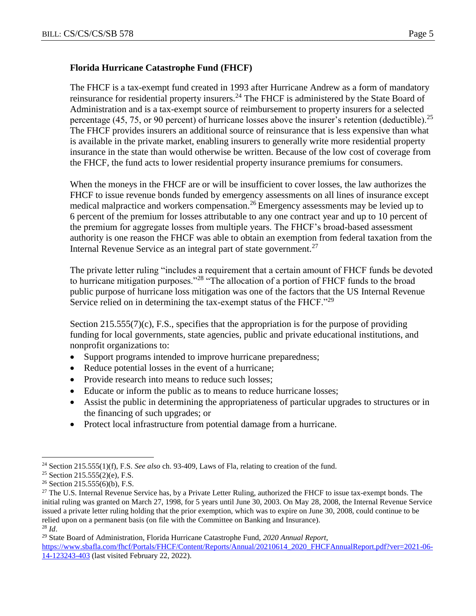## **Florida Hurricane Catastrophe Fund (FHCF)**

The FHCF is a tax-exempt fund created in 1993 after Hurricane Andrew as a form of mandatory reinsurance for residential property insurers.<sup>24</sup> The FHCF is administered by the State Board of Administration and is a tax-exempt source of reimbursement to property insurers for a selected percentage (45, 75, or 90 percent) of hurricane losses above the insurer's retention (deductible).<sup>25</sup> The FHCF provides insurers an additional source of reinsurance that is less expensive than what is available in the private market, enabling insurers to generally write more residential property insurance in the state than would otherwise be written. Because of the low cost of coverage from the FHCF, the fund acts to lower residential property insurance premiums for consumers.

When the moneys in the FHCF are or will be insufficient to cover losses, the law authorizes the FHCF to issue revenue bonds funded by emergency assessments on all lines of insurance except medical malpractice and workers compensation.<sup>26</sup> Emergency assessments may be levied up to 6 percent of the premium for losses attributable to any one contract year and up to 10 percent of the premium for aggregate losses from multiple years. The FHCF's broad-based assessment authority is one reason the FHCF was able to obtain an exemption from federal taxation from the Internal Revenue Service as an integral part of state government.<sup>27</sup>

The private letter ruling "includes a requirement that a certain amount of FHCF funds be devoted to hurricane mitigation purposes."<sup>28</sup> "The allocation of a portion of FHCF funds to the broad public purpose of hurricane loss mitigation was one of the factors that the US Internal Revenue Service relied on in determining the tax-exempt status of the FHCF."<sup>29</sup>

Section  $215.555(7)(c)$ , F.S., specifies that the appropriation is for the purpose of providing funding for local governments, state agencies, public and private educational institutions, and nonprofit organizations to:

- Support programs intended to improve hurricane preparedness;
- Reduce potential losses in the event of a hurricane;
- Provide research into means to reduce such losses:
- Educate or inform the public as to means to reduce hurricane losses;
- Assist the public in determining the appropriateness of particular upgrades to structures or in the financing of such upgrades; or
- Protect local infrastructure from potential damage from a hurricane.

 $\overline{a}$ <sup>24</sup> Section 215.555(1)(f), F.S. *See also* ch. 93-409, Laws of Fla, relating to creation of the fund.

<sup>25</sup> Section 215.555(2)(e), F.S.

<sup>26</sup> Section 215.555(6)(b), F.S.

<sup>&</sup>lt;sup>27</sup> The U.S. Internal Revenue Service has, by a Private Letter Ruling, authorized the FHCF to issue tax-exempt bonds. The initial ruling was granted on March 27, 1998, for 5 years until June 30, 2003. On May 28, 2008, the Internal Revenue Service issued a private letter ruling holding that the prior exemption, which was to expire on June 30, 2008, could continue to be relied upon on a permanent basis (on file with the Committee on Banking and Insurance). <sup>28</sup> *Id*.

<sup>29</sup> State Board of Administration, Florida Hurricane Catastrophe Fund, *2020 Annual Report*, [https://www.sbafla.com/fhcf/Portals/FHCF/Content/Reports/Annual/20210614\\_2020\\_FHCFAnnualReport.pdf?ver=2021-06-](https://www.sbafla.com/fhcf/Portals/FHCF/Content/Reports/Annual/20210614_2020_FHCFAnnualReport.pdf?ver=2021-06-14-123243-403) [14-123243-403](https://www.sbafla.com/fhcf/Portals/FHCF/Content/Reports/Annual/20210614_2020_FHCFAnnualReport.pdf?ver=2021-06-14-123243-403) (last visited February 22, 2022).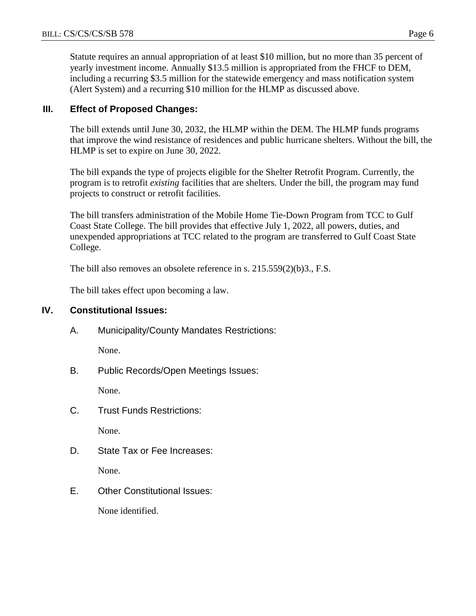Statute requires an annual appropriation of at least \$10 million, but no more than 35 percent of yearly investment income. Annually \$13.5 million is appropriated from the FHCF to DEM, including a recurring \$3.5 million for the statewide emergency and mass notification system (Alert System) and a recurring \$10 million for the HLMP as discussed above.

# **III. Effect of Proposed Changes:**

The bill extends until June 30, 2032, the HLMP within the DEM. The HLMP funds programs that improve the wind resistance of residences and public hurricane shelters. Without the bill, the HLMP is set to expire on June 30, 2022.

The bill expands the type of projects eligible for the Shelter Retrofit Program. Currently, the program is to retrofit *existing* facilities that are shelters. Under the bill, the program may fund projects to construct or retrofit facilities.

The bill transfers administration of the Mobile Home Tie-Down Program from TCC to Gulf Coast State College. The bill provides that effective July 1, 2022, all powers, duties, and unexpended appropriations at TCC related to the program are transferred to Gulf Coast State College.

The bill also removes an obsolete reference in s. 215.559(2)(b)3., F.S.

The bill takes effect upon becoming a law.

## **IV. Constitutional Issues:**

A. Municipality/County Mandates Restrictions:

None.

B. Public Records/Open Meetings Issues:

None.

C. Trust Funds Restrictions:

None.

D. State Tax or Fee Increases:

None.

E. Other Constitutional Issues:

None identified.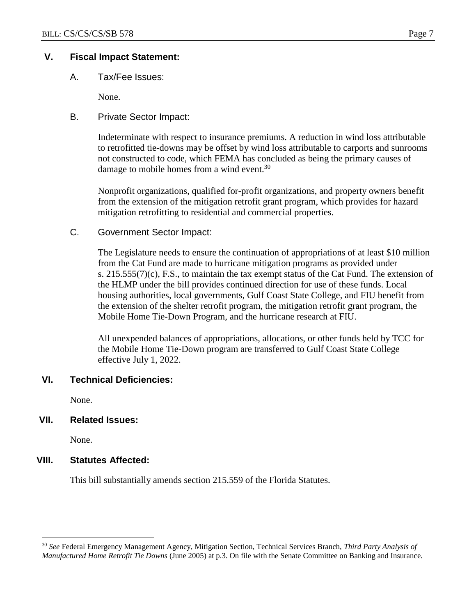## **V. Fiscal Impact Statement:**

A. Tax/Fee Issues:

None.

B. Private Sector Impact:

Indeterminate with respect to insurance premiums. A reduction in wind loss attributable to retrofitted tie-downs may be offset by wind loss attributable to carports and sunrooms not constructed to code, which FEMA has concluded as being the primary causes of damage to mobile homes from a wind event.<sup>30</sup>

Nonprofit organizations, qualified for-profit organizations, and property owners benefit from the extension of the mitigation retrofit grant program, which provides for hazard mitigation retrofitting to residential and commercial properties.

C. Government Sector Impact:

The Legislature needs to ensure the continuation of appropriations of at least \$10 million from the Cat Fund are made to hurricane mitigation programs as provided under s.  $215.555(7)(c)$ , F.S., to maintain the tax exempt status of the Cat Fund. The extension of the HLMP under the bill provides continued direction for use of these funds. Local housing authorities, local governments, Gulf Coast State College, and FIU benefit from the extension of the shelter retrofit program, the mitigation retrofit grant program, the Mobile Home Tie-Down Program, and the hurricane research at FIU.

All unexpended balances of appropriations, allocations, or other funds held by TCC for the Mobile Home Tie-Down program are transferred to Gulf Coast State College effective July 1, 2022.

## **VI. Technical Deficiencies:**

None.

## **VII. Related Issues:**

None.

 $\overline{a}$ 

## **VIII. Statutes Affected:**

This bill substantially amends section 215.559 of the Florida Statutes.

<sup>30</sup> *See* Federal Emergency Management Agency, Mitigation Section, Technical Services Branch, *Third Party Analysis of Manufactured Home Retrofit Tie Downs* (June 2005) at p.3. On file with the Senate Committee on Banking and Insurance.